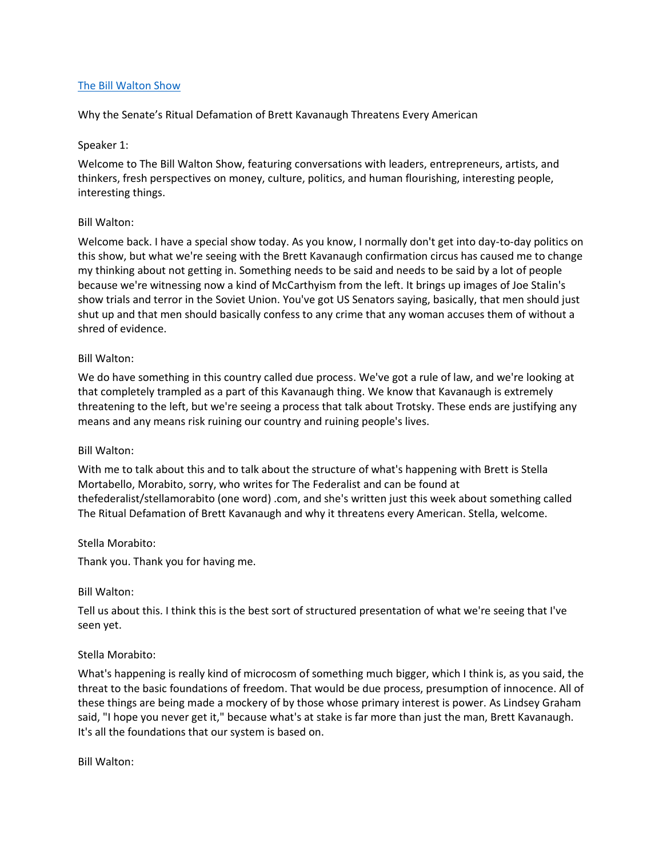## [The Bill Walton Show](https://thebillwaltonshow.com/)

Why the Senate's Ritual Defamation of Brett Kavanaugh Threatens Every American

### Speaker 1:

Welcome to The Bill Walton Show, featuring conversations with leaders, entrepreneurs, artists, and thinkers, fresh perspectives on money, culture, politics, and human flourishing, interesting people, interesting things.

### Bill Walton:

Welcome back. I have a special show today. As you know, I normally don't get into day-to-day politics on this show, but what we're seeing with the Brett Kavanaugh confirmation circus has caused me to change my thinking about not getting in. Something needs to be said and needs to be said by a lot of people because we're witnessing now a kind of McCarthyism from the left. It brings up images of Joe Stalin's show trials and terror in the Soviet Union. You've got US Senators saying, basically, that men should just shut up and that men should basically confess to any crime that any woman accuses them of without a shred of evidence.

### Bill Walton:

We do have something in this country called due process. We've got a rule of law, and we're looking at that completely trampled as a part of this Kavanaugh thing. We know that Kavanaugh is extremely threatening to the left, but we're seeing a process that talk about Trotsky. These ends are justifying any means and any means risk ruining our country and ruining people's lives.

#### Bill Walton:

With me to talk about this and to talk about the structure of what's happening with Brett is Stella Mortabello, Morabito, sorry, who writes for The Federalist and can be found at thefederalist/stellamorabito (one word) .com, and she's written just this week about something called The Ritual Defamation of Brett Kavanaugh and why it threatens every American. Stella, welcome.

#### Stella Morabito:

Thank you. Thank you for having me.

#### Bill Walton:

Tell us about this. I think this is the best sort of structured presentation of what we're seeing that I've seen yet.

## Stella Morabito:

What's happening is really kind of microcosm of something much bigger, which I think is, as you said, the threat to the basic foundations of freedom. That would be due process, presumption of innocence. All of these things are being made a mockery of by those whose primary interest is power. As Lindsey Graham said, "I hope you never get it," because what's at stake is far more than just the man, Brett Kavanaugh. It's all the foundations that our system is based on.

Bill Walton: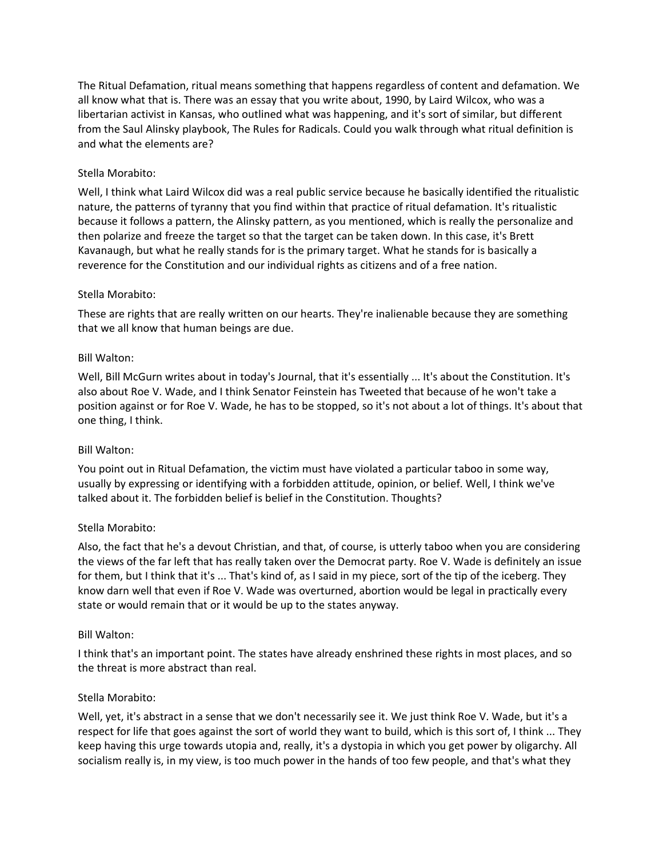The Ritual Defamation, ritual means something that happens regardless of content and defamation. We all know what that is. There was an essay that you write about, 1990, by Laird Wilcox, who was a libertarian activist in Kansas, who outlined what was happening, and it's sort of similar, but different from the Saul Alinsky playbook, The Rules for Radicals. Could you walk through what ritual definition is and what the elements are?

# Stella Morabito:

Well, I think what Laird Wilcox did was a real public service because he basically identified the ritualistic nature, the patterns of tyranny that you find within that practice of ritual defamation. It's ritualistic because it follows a pattern, the Alinsky pattern, as you mentioned, which is really the personalize and then polarize and freeze the target so that the target can be taken down. In this case, it's Brett Kavanaugh, but what he really stands for is the primary target. What he stands for is basically a reverence for the Constitution and our individual rights as citizens and of a free nation.

# Stella Morabito:

These are rights that are really written on our hearts. They're inalienable because they are something that we all know that human beings are due.

## Bill Walton:

Well, Bill McGurn writes about in today's Journal, that it's essentially ... It's about the Constitution. It's also about Roe V. Wade, and I think Senator Feinstein has Tweeted that because of he won't take a position against or for Roe V. Wade, he has to be stopped, so it's not about a lot of things. It's about that one thing, I think.

## Bill Walton:

You point out in Ritual Defamation, the victim must have violated a particular taboo in some way, usually by expressing or identifying with a forbidden attitude, opinion, or belief. Well, I think we've talked about it. The forbidden belief is belief in the Constitution. Thoughts?

## Stella Morabito:

Also, the fact that he's a devout Christian, and that, of course, is utterly taboo when you are considering the views of the far left that has really taken over the Democrat party. Roe V. Wade is definitely an issue for them, but I think that it's ... That's kind of, as I said in my piece, sort of the tip of the iceberg. They know darn well that even if Roe V. Wade was overturned, abortion would be legal in practically every state or would remain that or it would be up to the states anyway.

## Bill Walton:

I think that's an important point. The states have already enshrined these rights in most places, and so the threat is more abstract than real.

## Stella Morabito:

Well, yet, it's abstract in a sense that we don't necessarily see it. We just think Roe V. Wade, but it's a respect for life that goes against the sort of world they want to build, which is this sort of, I think ... They keep having this urge towards utopia and, really, it's a dystopia in which you get power by oligarchy. All socialism really is, in my view, is too much power in the hands of too few people, and that's what they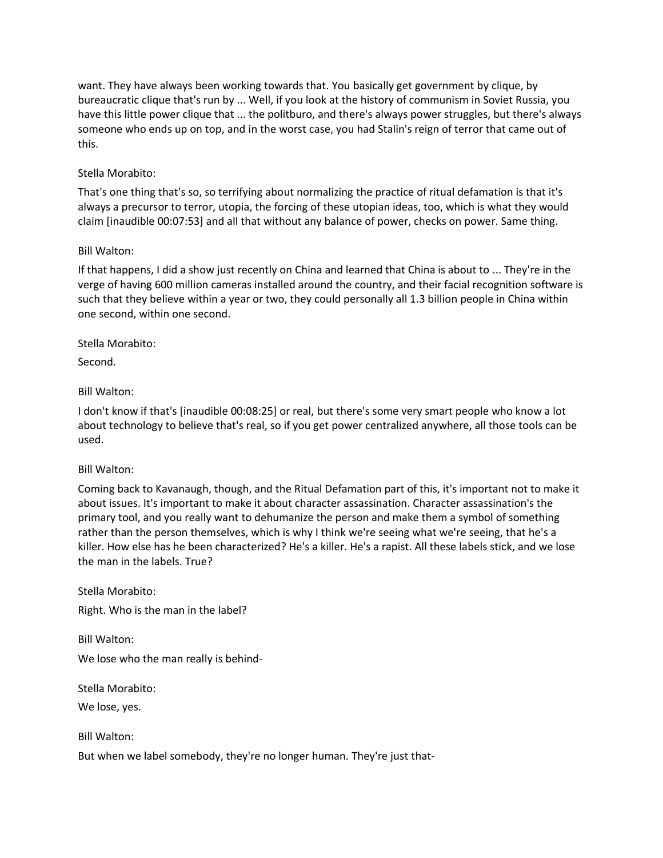want. They have always been working towards that. You basically get government by clique, by bureaucratic clique that's run by ... Well, if you look at the history of communism in Soviet Russia, you have this little power clique that ... the politburo, and there's always power struggles, but there's always someone who ends up on top, and in the worst case, you had Stalin's reign of terror that came out of this.

# Stella Morabito:

That's one thing that's so, so terrifying about normalizing the practice of ritual defamation is that it's always a precursor to terror, utopia, the forcing of these utopian ideas, too, which is what they would claim [inaudible 00:07:53] and all that without any balance of power, checks on power. Same thing.

## Bill Walton:

If that happens, I did a show just recently on China and learned that China is about to ... They're in the verge of having 600 million cameras installed around the country, and their facial recognition software is such that they believe within a year or two, they could personally all 1.3 billion people in China within one second, within one second.

# Stella Morabito:

Second.

# Bill Walton:

I don't know if that's [inaudible 00:08:25] or real, but there's some very smart people who know a lot about technology to believe that's real, so if you get power centralized anywhere, all those tools can be used.

## Bill Walton:

Coming back to Kavanaugh, though, and the Ritual Defamation part of this, it's important not to make it about issues. It's important to make it about character assassination. Character assassination's the primary tool, and you really want to dehumanize the person and make them a symbol of something rather than the person themselves, which is why I think we're seeing what we're seeing, that he's a killer. How else has he been characterized? He's a killer. He's a rapist. All these labels stick, and we lose the man in the labels. True?

Stella Morabito:

Right. Who is the man in the label?

Bill Walton: We lose who the man really is behind-

Stella Morabito:

We lose, yes.

Bill Walton:

But when we label somebody, they're no longer human. They're just that-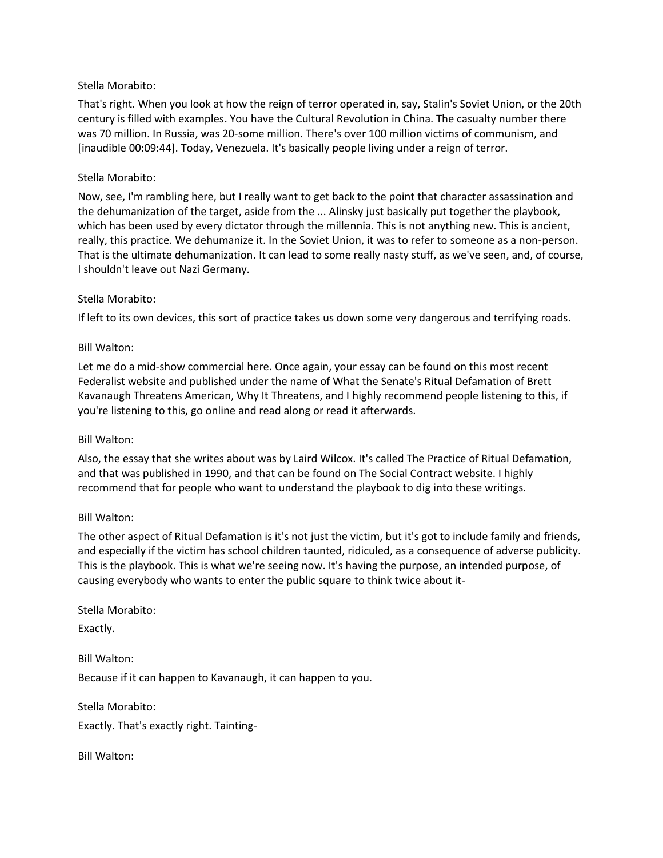## Stella Morabito:

That's right. When you look at how the reign of terror operated in, say, Stalin's Soviet Union, or the 20th century is filled with examples. You have the Cultural Revolution in China. The casualty number there was 70 million. In Russia, was 20-some million. There's over 100 million victims of communism, and [inaudible 00:09:44]. Today, Venezuela. It's basically people living under a reign of terror.

## Stella Morabito:

Now, see, I'm rambling here, but I really want to get back to the point that character assassination and the dehumanization of the target, aside from the ... Alinsky just basically put together the playbook, which has been used by every dictator through the millennia. This is not anything new. This is ancient, really, this practice. We dehumanize it. In the Soviet Union, it was to refer to someone as a non-person. That is the ultimate dehumanization. It can lead to some really nasty stuff, as we've seen, and, of course, I shouldn't leave out Nazi Germany.

# Stella Morabito:

If left to its own devices, this sort of practice takes us down some very dangerous and terrifying roads.

# Bill Walton:

Let me do a mid-show commercial here. Once again, your essay can be found on this most recent Federalist website and published under the name of What the Senate's Ritual Defamation of Brett Kavanaugh Threatens American, Why It Threatens, and I highly recommend people listening to this, if you're listening to this, go online and read along or read it afterwards.

## Bill Walton:

Also, the essay that she writes about was by Laird Wilcox. It's called The Practice of Ritual Defamation, and that was published in 1990, and that can be found on The Social Contract website. I highly recommend that for people who want to understand the playbook to dig into these writings.

## Bill Walton:

The other aspect of Ritual Defamation is it's not just the victim, but it's got to include family and friends, and especially if the victim has school children taunted, ridiculed, as a consequence of adverse publicity. This is the playbook. This is what we're seeing now. It's having the purpose, an intended purpose, of causing everybody who wants to enter the public square to think twice about it-

Stella Morabito:

Exactly.

Bill Walton: Because if it can happen to Kavanaugh, it can happen to you.

Stella Morabito:

Exactly. That's exactly right. Tainting-

Bill Walton: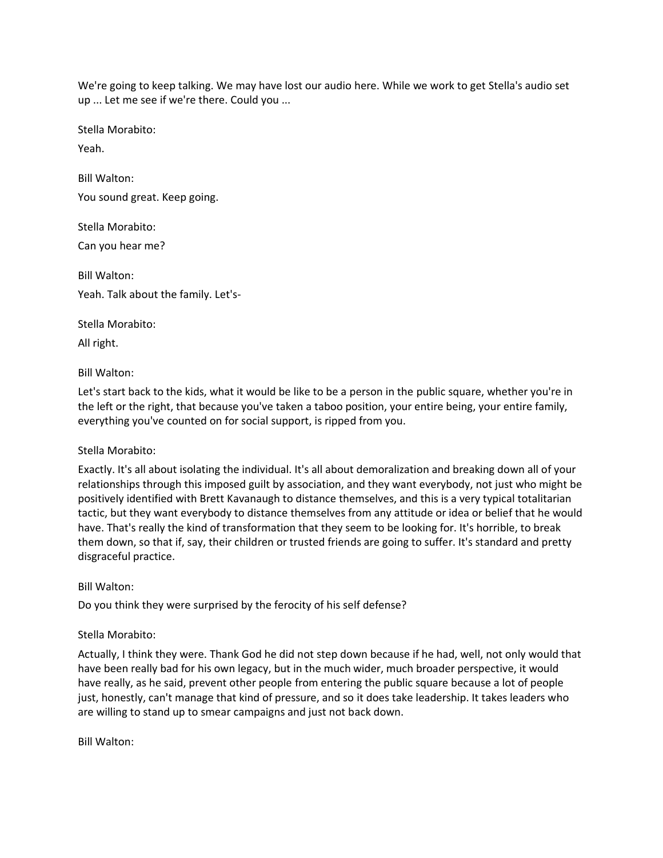We're going to keep talking. We may have lost our audio here. While we work to get Stella's audio set up ... Let me see if we're there. Could you ...

Stella Morabito:

Yeah.

Bill Walton: You sound great. Keep going.

Stella Morabito: Can you hear me?

Bill Walton: Yeah. Talk about the family. Let's-

Stella Morabito:

All right.

# Bill Walton:

Let's start back to the kids, what it would be like to be a person in the public square, whether you're in the left or the right, that because you've taken a taboo position, your entire being, your entire family, everything you've counted on for social support, is ripped from you.

# Stella Morabito:

Exactly. It's all about isolating the individual. It's all about demoralization and breaking down all of your relationships through this imposed guilt by association, and they want everybody, not just who might be positively identified with Brett Kavanaugh to distance themselves, and this is a very typical totalitarian tactic, but they want everybody to distance themselves from any attitude or idea or belief that he would have. That's really the kind of transformation that they seem to be looking for. It's horrible, to break them down, so that if, say, their children or trusted friends are going to suffer. It's standard and pretty disgraceful practice.

## Bill Walton:

Do you think they were surprised by the ferocity of his self defense?

# Stella Morabito:

Actually, I think they were. Thank God he did not step down because if he had, well, not only would that have been really bad for his own legacy, but in the much wider, much broader perspective, it would have really, as he said, prevent other people from entering the public square because a lot of people just, honestly, can't manage that kind of pressure, and so it does take leadership. It takes leaders who are willing to stand up to smear campaigns and just not back down.

Bill Walton: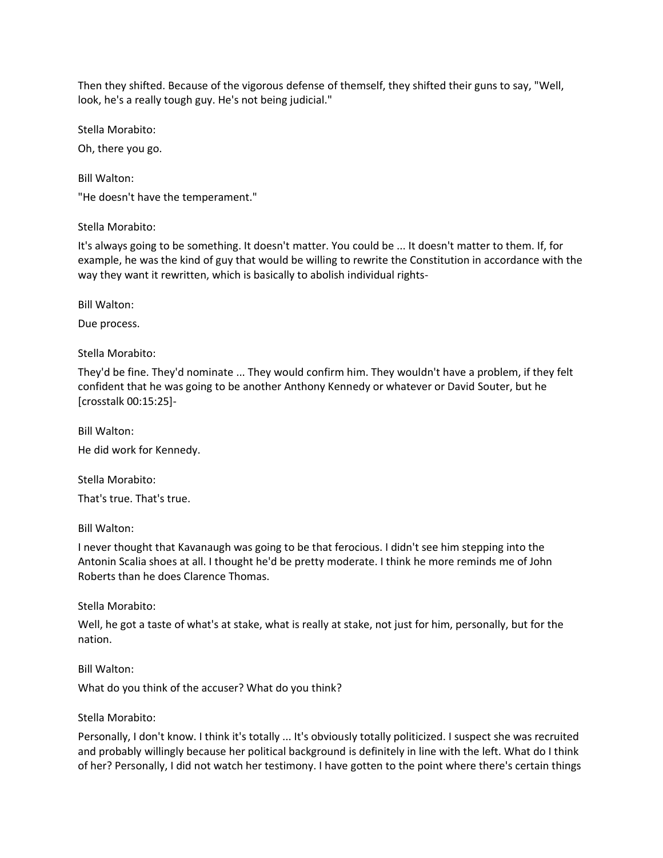Then they shifted. Because of the vigorous defense of themself, they shifted their guns to say, "Well, look, he's a really tough guy. He's not being judicial."

Stella Morabito:

Oh, there you go.

Bill Walton: "He doesn't have the temperament."

Stella Morabito:

It's always going to be something. It doesn't matter. You could be ... It doesn't matter to them. If, for example, he was the kind of guy that would be willing to rewrite the Constitution in accordance with the way they want it rewritten, which is basically to abolish individual rights-

Bill Walton:

Due process.

Stella Morabito:

They'd be fine. They'd nominate ... They would confirm him. They wouldn't have a problem, if they felt confident that he was going to be another Anthony Kennedy or whatever or David Souter, but he [crosstalk 00:15:25]-

Bill Walton: He did work for Kennedy.

Stella Morabito: That's true. That's true.

Bill Walton:

I never thought that Kavanaugh was going to be that ferocious. I didn't see him stepping into the Antonin Scalia shoes at all. I thought he'd be pretty moderate. I think he more reminds me of John Roberts than he does Clarence Thomas.

Stella Morabito:

Well, he got a taste of what's at stake, what is really at stake, not just for him, personally, but for the nation.

Bill Walton:

What do you think of the accuser? What do you think?

Stella Morabito:

Personally, I don't know. I think it's totally ... It's obviously totally politicized. I suspect she was recruited and probably willingly because her political background is definitely in line with the left. What do I think of her? Personally, I did not watch her testimony. I have gotten to the point where there's certain things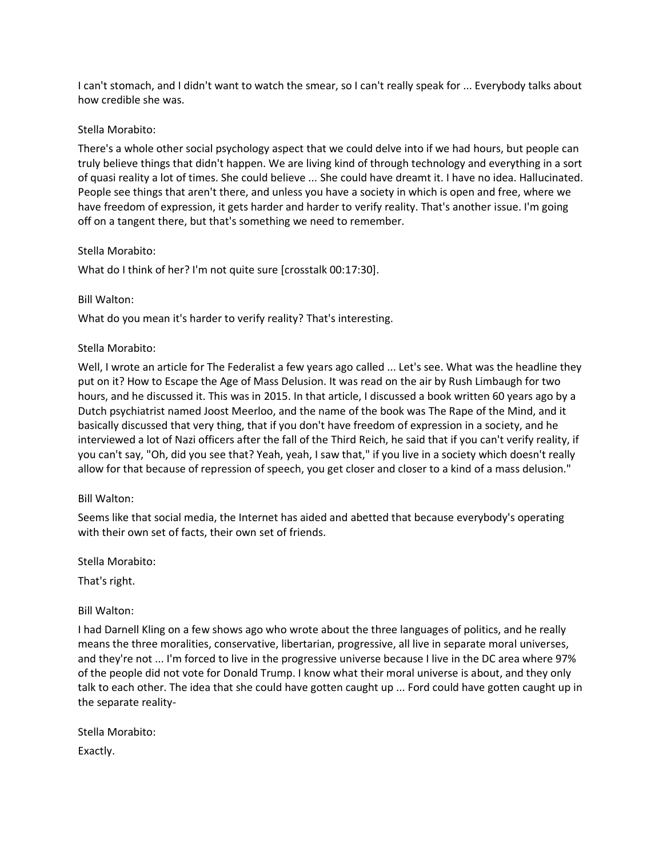I can't stomach, and I didn't want to watch the smear, so I can't really speak for ... Everybody talks about how credible she was.

## Stella Morabito:

There's a whole other social psychology aspect that we could delve into if we had hours, but people can truly believe things that didn't happen. We are living kind of through technology and everything in a sort of quasi reality a lot of times. She could believe ... She could have dreamt it. I have no idea. Hallucinated. People see things that aren't there, and unless you have a society in which is open and free, where we have freedom of expression, it gets harder and harder to verify reality. That's another issue. I'm going off on a tangent there, but that's something we need to remember.

### Stella Morabito:

What do I think of her? I'm not quite sure [crosstalk 00:17:30].

### Bill Walton:

What do you mean it's harder to verify reality? That's interesting.

### Stella Morabito:

Well, I wrote an article for The Federalist a few years ago called ... Let's see. What was the headline they put on it? How to Escape the Age of Mass Delusion. It was read on the air by Rush Limbaugh for two hours, and he discussed it. This was in 2015. In that article, I discussed a book written 60 years ago by a Dutch psychiatrist named Joost Meerloo, and the name of the book was The Rape of the Mind, and it basically discussed that very thing, that if you don't have freedom of expression in a society, and he interviewed a lot of Nazi officers after the fall of the Third Reich, he said that if you can't verify reality, if you can't say, "Oh, did you see that? Yeah, yeah, I saw that," if you live in a society which doesn't really allow for that because of repression of speech, you get closer and closer to a kind of a mass delusion."

#### Bill Walton:

Seems like that social media, the Internet has aided and abetted that because everybody's operating with their own set of facts, their own set of friends.

Stella Morabito:

That's right.

## Bill Walton:

I had Darnell Kling on a few shows ago who wrote about the three languages of politics, and he really means the three moralities, conservative, libertarian, progressive, all live in separate moral universes, and they're not ... I'm forced to live in the progressive universe because I live in the DC area where 97% of the people did not vote for Donald Trump. I know what their moral universe is about, and they only talk to each other. The idea that she could have gotten caught up ... Ford could have gotten caught up in the separate reality-

Stella Morabito: Exactly.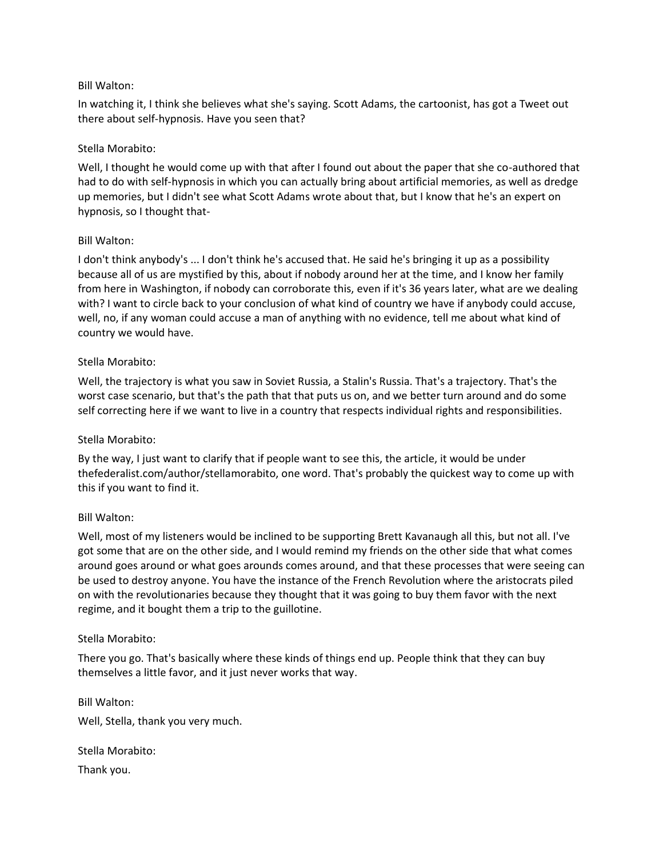## Bill Walton:

In watching it, I think she believes what she's saying. Scott Adams, the cartoonist, has got a Tweet out there about self-hypnosis. Have you seen that?

### Stella Morabito:

Well, I thought he would come up with that after I found out about the paper that she co-authored that had to do with self-hypnosis in which you can actually bring about artificial memories, as well as dredge up memories, but I didn't see what Scott Adams wrote about that, but I know that he's an expert on hypnosis, so I thought that-

### Bill Walton:

I don't think anybody's ... I don't think he's accused that. He said he's bringing it up as a possibility because all of us are mystified by this, about if nobody around her at the time, and I know her family from here in Washington, if nobody can corroborate this, even if it's 36 years later, what are we dealing with? I want to circle back to your conclusion of what kind of country we have if anybody could accuse, well, no, if any woman could accuse a man of anything with no evidence, tell me about what kind of country we would have.

### Stella Morabito:

Well, the trajectory is what you saw in Soviet Russia, a Stalin's Russia. That's a trajectory. That's the worst case scenario, but that's the path that that puts us on, and we better turn around and do some self correcting here if we want to live in a country that respects individual rights and responsibilities.

## Stella Morabito:

By the way, I just want to clarify that if people want to see this, the article, it would be under thefederalist.com/author/stellamorabito, one word. That's probably the quickest way to come up with this if you want to find it.

#### Bill Walton:

Well, most of my listeners would be inclined to be supporting Brett Kavanaugh all this, but not all. I've got some that are on the other side, and I would remind my friends on the other side that what comes around goes around or what goes arounds comes around, and that these processes that were seeing can be used to destroy anyone. You have the instance of the French Revolution where the aristocrats piled on with the revolutionaries because they thought that it was going to buy them favor with the next regime, and it bought them a trip to the guillotine.

#### Stella Morabito:

There you go. That's basically where these kinds of things end up. People think that they can buy themselves a little favor, and it just never works that way.

Bill Walton: Well, Stella, thank you very much.

Stella Morabito: Thank you.